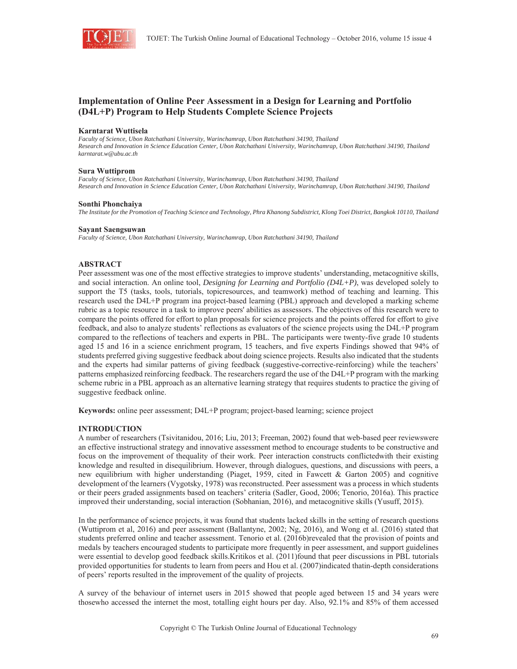

## **Implementation of Online Peer Assessment in a Design for Learning and Portfolio (D4L+P) Program to Help Students Complete Science Projects**

#### **Karntarat Wuttisela**

*Faculty of Science, Ubon Ratchathani University, Warinchamrap, Ubon Ratchathani 34190, Thailand Research and Innovation in Science Education Center, Ubon Ratchathani University, Warinchamrap, Ubon Ratchathani 34190, Thailand karntarat.w@ubu.ac.th* 

#### **Sura Wuttiprom**

*Faculty of Science, Ubon Ratchathani University, Warinchamrap, Ubon Ratchathani 34190, Thailand Research and Innovation in Science Education Center, Ubon Ratchathani University, Warinchamrap, Ubon Ratchathani 34190, Thailand*

#### **Sonthi Phonchaiya**

*The Institute for the Promotion of Teaching Science and Technology, Phra Khanong Subdistrict, Klong Toei District, Bangkok 10110, Thailand* 

#### **Sayant Saengsuwan**

*Faculty of Science, Ubon Ratchathani University, Warinchamrap, Ubon Ratchathani 34190, Thailand* 

#### **ABSTRACT**

Peer assessment was one of the most effective strategies to improve students' understanding, metacognitive skills, and social interaction. An online tool, *Designing for Learning and Portfolio (D4L+P)*, was developed solely to support the T5 (tasks, tools, tutorials, topicresources, and teamwork) method of teaching and learning. This research used the D4L+P program ina project-based learning (PBL) approach and developed a marking scheme rubric as a topic resource in a task to improve peers' abilities as assessors. The objectives of this research were to compare the points offered for effort to plan proposals for science projects and the points offered for effort to give feedback, and also to analyze students' reflections as evaluators of the science projects using the D4L+P program compared to the reflections of teachers and experts in PBL. The participants were twenty-five grade 10 students aged 15 and 16 in a science enrichment program, 15 teachers, and five experts Findings showed that 94% of students preferred giving suggestive feedback about doing science projects. Results also indicated that the students and the experts had similar patterns of giving feedback (suggestive-corrective-reinforcing) while the teachers' patterns emphasized reinforcing feedback. The researchers regard the use of the D4L+P program with the marking scheme rubric in a PBL approach as an alternative learning strategy that requires students to practice the giving of suggestive feedback online.

**Keywords:** online peer assessment; D4L+P program; project-based learning; science project

#### **INTRODUCTION**

A number of researchers (Tsivitanidou, 2016; Liu, 2013; Freeman, 2002) found that web-based peer reviewswere an effective instructional strategy and innovative assessment method to encourage students to be constructive and focus on the improvement of thequality of their work. Peer interaction constructs conflictedwith their existing knowledge and resulted in disequilibrium. However, through dialogues, questions, and discussions with peers, a new equilibrium with higher understanding (Piaget, 1959, cited in Fawcett & Garton 2005) and cognitive development of the learners (Vygotsky, 1978) was reconstructed. Peer assessment was a process in which students or their peers graded assignments based on teachers' criteria (Sadler, Good, 2006; Tenorio, 2016a). This practice improved their understanding, social interaction (Sobhanian, 2016), and metacognitive skills (Yusuff, 2015).

In the performance of science projects, it was found that students lacked skills in the setting of research questions (Wuttiprom et al, 2016) and peer assessment (Ballantyne, 2002; Ng, 2016), and Wong et al. (2016) stated that students preferred online and teacher assessment. Tenorio et al. (2016b)revealed that the provision of points and medals by teachers encouraged students to participate more frequently in peer assessment, and support guidelines were essential to develop good feedback skills.Kritikos et al. (2011)found that peer discussions in PBL tutorials provided opportunities for students to learn from peers and Hou et al. (2007)indicated thatin-depth considerations of peers' reports resulted in the improvement of the quality of projects.

A survey of the behaviour of internet users in 2015 showed that people aged between 15 and 34 years were thosewho accessed the internet the most, totalling eight hours per day. Also, 92.1% and 85% of them accessed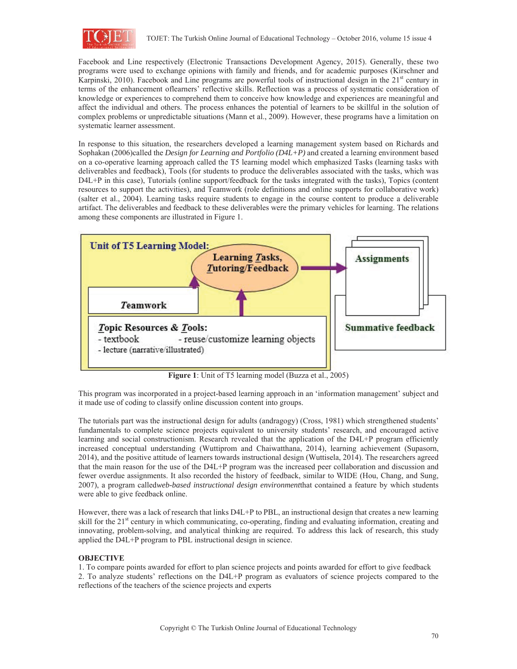

Facebook and Line respectively (Electronic Transactions Development Agency, 2015). Generally, these two programs were used to exchange opinions with family and friends, and for academic purposes (Kirschner and Karpinski, 2010). Facebook and Line programs are powerful tools of instructional design in the 21<sup>st</sup> century in terms of the enhancement oflearners' reflective skills. Reflection was a process of systematic consideration of knowledge or experiences to comprehend them to conceive how knowledge and experiences are meaningful and affect the individual and others. The process enhances the potential of learners to be skillful in the solution of complex problems or unpredictable situations (Mann et al., 2009). However, these programs have a limitation on systematic learner assessment.

In response to this situation, the researchers developed a learning management system based on Richards and Sophakan (2006)called the *Design for Learning and Portfolio (D4L+P)* and created a learning environment based on a co-operative learning approach called the T5 learning model which emphasized Tasks (learning tasks with deliverables and feedback), Tools (for students to produce the deliverables associated with the tasks, which was D4L+P in this case), Tutorials (online support/feedback for the tasks integrated with the tasks), Topics (content resources to support the activities), and Teamwork (role definitions and online supports for collaborative work) (salter et al., 2004). Learning tasks require students to engage in the course content to produce a deliverable artifact. The deliverables and feedback to these deliverables were the primary vehicles for learning. The relations among these components are illustrated in Figure 1.



**Figure 1**: Unit of T5 learning model (Buzza et al., 2005)

This program was incorporated in a project-based learning approach in an 'information management' subject and it made use of coding to classify online discussion content into groups.

The tutorials part was the instructional design for adults (andragogy) (Cross, 1981) which strengthened students' fundamentals to complete science projects equivalent to university students' research, and encouraged active learning and social constructionism. Research revealed that the application of the D4L+P program efficiently increased conceptual understanding (Wuttiprom and Chaiwatthana, 2014), learning achievement (Supasorn, 2014), and the positive attitude of learners towards instructional design (Wuttisela, 2014). The researchers agreed that the main reason for the use of the D4L+P program was the increased peer collaboration and discussion and fewer overdue assignments. It also recorded the history of feedback, similar to WIDE (Hou, Chang, and Sung, 2007), a program called*web-based instructional design environment*that contained a feature by which students were able to give feedback online.

However, there was a lack of research that links D4L+P to PBL, an instructional design that creates a new learning skill for the 21<sup>st</sup> century in which communicating, co-operating, finding and evaluating information, creating and innovating, problem-solving, and analytical thinking are required. To address this lack of research, this study applied the D4L+P program to PBL instructional design in science.

## **OBJECTIVE**

1. To compare points awarded for effort to plan science projects and points awarded for effort to give feedback

2. To analyze students' reflections on the D4L+P program as evaluators of science projects compared to the reflections of the teachers of the science projects and experts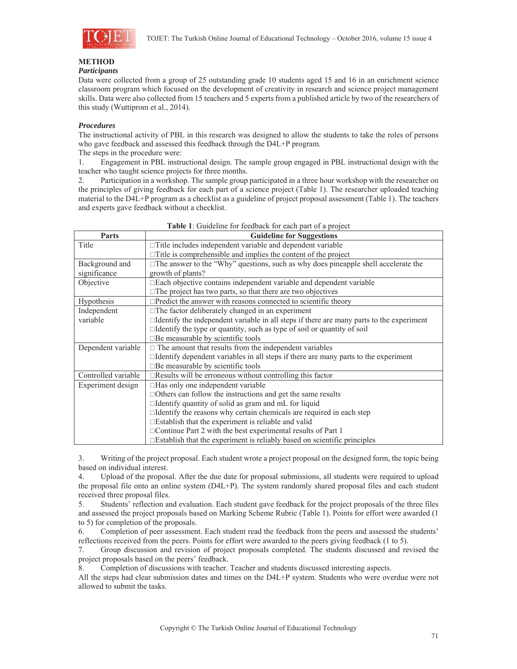

# **METHOD**

## *Participants*

Data were collected from a group of 25 outstanding grade 10 students aged 15 and 16 in an enrichment science classroom program which focused on the development of creativity in research and science project management skills. Data were also collected from 15 teachers and 5 experts from a published article by two of the researchers of this study (Wuttiprom et al., 2014).

## *Procedures*

The instructional activity of PBL in this research was designed to allow the students to take the roles of persons who gave feedback and assessed this feedback through the D4L+P program.

The steps in the procedure were:

1. Engagement in PBL instructional design. The sample group engaged in PBL instructional design with the teacher who taught science projects for three months.

2. Participation in a workshop. The sample group participated in a three hour workshop with the researcher on the principles of giving feedback for each part of a science project (Table 1). The researcher uploaded teaching material to the D4L+P program as a checklist as a guideline of project proposal assessment (Table 1). The teachers and experts gave feedback without a checklist.

| Parts               | <b>Guideline for Suggestions</b>                                                                |  |  |  |  |  |
|---------------------|-------------------------------------------------------------------------------------------------|--|--|--|--|--|
| Title               | $\Box$ Title includes independent variable and dependent variable                               |  |  |  |  |  |
|                     | $\Box$ Title is comprehensible and implies the content of the project                           |  |  |  |  |  |
| Background and      | $\Box$ The answer to the "Why" questions, such as why does pineapple shell accelerate the       |  |  |  |  |  |
| significance        | growth of plants?                                                                               |  |  |  |  |  |
| Objective           | □ Each objective contains independent variable and dependent variable                           |  |  |  |  |  |
|                     | $\square$ The project has two parts, so that there are two objectives                           |  |  |  |  |  |
| Hypothesis          | $\Box$ Predict the answer with reasons connected to scientific theory                           |  |  |  |  |  |
| Independent         | $\Box$ The factor deliberately changed in an experiment                                         |  |  |  |  |  |
| variable            | $\Box$ Identify the independent variable in all steps if there are many parts to the experiment |  |  |  |  |  |
|                     | $\Box$ Identify the type or quantity, such as type of soil or quantity of soil                  |  |  |  |  |  |
|                     | $\square$ Be measurable by scientific tools                                                     |  |  |  |  |  |
| Dependent variable  | $\Box$ The amount that results from the independent variables                                   |  |  |  |  |  |
|                     | $\Box$ Identify dependent variables in all steps if there are many parts to the experiment      |  |  |  |  |  |
|                     | $\square$ Be measurable by scientific tools                                                     |  |  |  |  |  |
| Controlled variable | $\Box$ Results will be erroneous without controlling this factor                                |  |  |  |  |  |
| Experiment design   | $\Box$ Has only one independent variable                                                        |  |  |  |  |  |
|                     | $\Box$ Others can follow the instructions and get the same results                              |  |  |  |  |  |
|                     | $\Box$ Identify quantity of solid as gram and mL for liquid                                     |  |  |  |  |  |
|                     | $\Box$ Identify the reasons why certain chemicals are required in each step                     |  |  |  |  |  |
|                     | $\square$ Establish that the experiment is reliable and valid                                   |  |  |  |  |  |
|                     | $\Box$ Continue Part 2 with the best experimental results of Part 1                             |  |  |  |  |  |
|                     | $\square$ Establish that the experiment is reliably based on scientific principles              |  |  |  |  |  |

**Table 1**: Guideline for feedback for each part of a project

3. Writing of the project proposal. Each student wrote a project proposal on the designed form, the topic being based on individual interest.

4. Upload of the proposal. After the due date for proposal submissions, all students were required to upload the proposal file onto an online system (D4L+P). The system randomly shared proposal files and each student received three proposal files.

5. Students' reflection and evaluation. Each student gave feedback for the project proposals of the three files and assessed the project proposals based on Marking Scheme Rubric (Table 1). Points for effort were awarded (1 to 5) for completion of the proposals.

6. Completion of peer assessment. Each student read the feedback from the peers and assessed the students' reflections received from the peers. Points for effort were awarded to the peers giving feedback (1 to 5).

7. Group discussion and revision of project proposals completed. The students discussed and revised the project proposals based on the peers' feedback.

8. Completion of discussions with teacher. Teacher and students discussed interesting aspects.

All the steps had clear submission dates and times on the D4L+P system. Students who were overdue were not allowed to submit the tasks.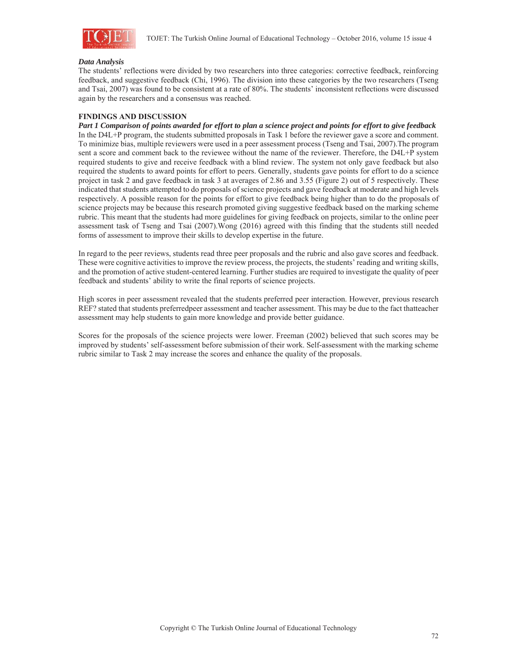

#### *Data Analysis*

The students' reflections were divided by two researchers into three categories: corrective feedback, reinforcing feedback, and suggestive feedback (Chi, 1996). The division into these categories by the two researchers (Tseng and Tsai, 2007) was found to be consistent at a rate of 80%. The students' inconsistent reflections were discussed again by the researchers and a consensus was reached.

## **FINDINGS AND DISCUSSION**

*Part 1 Comparison of points awarded for effort to plan a science project and points for effort to give feedback*  In the D4L+P program, the students submitted proposals in Task 1 before the reviewer gave a score and comment. To minimize bias, multiple reviewers were used in a peer assessment process (Tseng and Tsai, 2007).The program sent a score and comment back to the reviewee without the name of the reviewer. Therefore, the D4L+P system required students to give and receive feedback with a blind review. The system not only gave feedback but also required the students to award points for effort to peers. Generally, students gave points for effort to do a science project in task 2 and gave feedback in task 3 at averages of 2.86 and 3.55 (Figure 2) out of 5 respectively. These indicated that students attempted to do proposals of science projects and gave feedback at moderate and high levels respectively. A possible reason for the points for effort to give feedback being higher than to do the proposals of science projects may be because this research promoted giving suggestive feedback based on the marking scheme rubric. This meant that the students had more guidelines for giving feedback on projects, similar to the online peer assessment task of Tseng and Tsai (2007).Wong (2016) agreed with this finding that the students still needed forms of assessment to improve their skills to develop expertise in the future.

In regard to the peer reviews, students read three peer proposals and the rubric and also gave scores and feedback. These were cognitive activities to improve the review process, the projects, the students' reading and writing skills, and the promotion of active student-centered learning. Further studies are required to investigate the quality of peer feedback and students' ability to write the final reports of science projects.

High scores in peer assessment revealed that the students preferred peer interaction. However, previous research REF? stated that students preferredpeer assessment and teacher assessment. This may be due to the fact thatteacher assessment may help students to gain more knowledge and provide better guidance.

Scores for the proposals of the science projects were lower. Freeman (2002) believed that such scores may be improved by students' self-assessment before submission of their work. Self-assessment with the marking scheme rubric similar to Task 2 may increase the scores and enhance the quality of the proposals.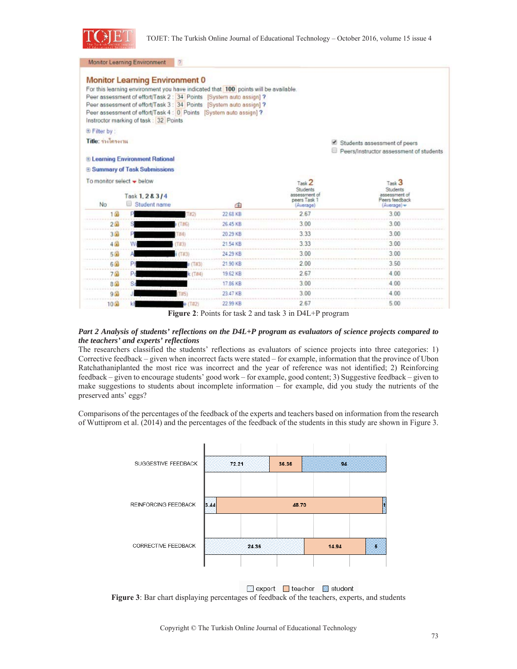

Monitor Learning Environment 7

|                                                          | <b>Monitor Learning Environment 0</b><br>Instructor marking of task: 32 Points |        | For this learning environment you have indicated that 100 points will be available.<br>Peer assessment of effort/Task 2 : 34 Points [System auto assign] ?<br>Peer assessment of effort/Task 3 : 34 Points [System auto assign] ?<br>Peer assessment of effort/Task 4 : 0 Points [System auto assign] ? |                                                   |                                                                         |  |
|----------------------------------------------------------|--------------------------------------------------------------------------------|--------|---------------------------------------------------------------------------------------------------------------------------------------------------------------------------------------------------------------------------------------------------------------------------------------------------------|---------------------------------------------------|-------------------------------------------------------------------------|--|
| <b>E</b> Filter by:                                      |                                                                                |        |                                                                                                                                                                                                                                                                                                         |                                                   |                                                                         |  |
| Title: milnsonu                                          |                                                                                |        |                                                                                                                                                                                                                                                                                                         |                                                   | Students assessment of peers<br>Peers/Instructor assessment of students |  |
|                                                          | <b>E Learning Environment Rational</b>                                         |        |                                                                                                                                                                                                                                                                                                         |                                                   |                                                                         |  |
|                                                          | <b>E Summary of Task Submissions</b>                                           |        |                                                                                                                                                                                                                                                                                                         |                                                   |                                                                         |  |
| To monitor select $\rightarrow$ below<br>Task 1, 2 & 3/4 |                                                                                |        |                                                                                                                                                                                                                                                                                                         | Task 2<br>Students<br>assessment of<br>peers Task | Task <sup>3</sup><br>Students<br>assessment of<br>Peers feedback        |  |
| <b>No</b>                                                | <b>Student name</b><br>۰                                                       |        | 面                                                                                                                                                                                                                                                                                                       | (Average)                                         | (Average)                                                               |  |
| 1.53                                                     |                                                                                | (T#2)  | 22.68 KB                                                                                                                                                                                                                                                                                                | 2.67                                              | 3.00                                                                    |  |
| 2日                                                       |                                                                                |        | 26.45 KB                                                                                                                                                                                                                                                                                                | 3.00                                              | 3.00                                                                    |  |
| 3 岛                                                      |                                                                                | E4     | 20.29 KB                                                                                                                                                                                                                                                                                                | 3.33                                              | 3.00                                                                    |  |
| $4 \Omega$                                               |                                                                                |        | 21.54 KB                                                                                                                                                                                                                                                                                                | 3.33                                              | 3 0 0                                                                   |  |
| 5.5                                                      |                                                                                |        | 24.29 KB                                                                                                                                                                                                                                                                                                | 3.00                                              | 3.00                                                                    |  |
| 69                                                       | PI                                                                             |        | 21.90 KB                                                                                                                                                                                                                                                                                                | 2.00                                              | 3.50                                                                    |  |
| 7 <sub>0</sub>                                           | D,                                                                             | (T#4)  | 19.62 KB                                                                                                                                                                                                                                                                                                | 2.67                                              | 4 00                                                                    |  |
| 8 <sub>0</sub>                                           | Sı                                                                             |        | 17.86 KB                                                                                                                                                                                                                                                                                                | 3 00                                              | 4.00                                                                    |  |
| 9.5                                                      |                                                                                |        | 23.47 KB                                                                                                                                                                                                                                                                                                | 3.00                                              | 4.00                                                                    |  |
| 10品                                                      | кł                                                                             | e(142) | 22.99 KB                                                                                                                                                                                                                                                                                                | 2.67                                              | 5.00.                                                                   |  |

**Figure 2**: Points for task 2 and task 3 in D4L+P program

## *Part 2 Analysis of students' reflections on the D4L+P program as evaluators of science projects compared to the teachers' and experts' reflections*

The researchers classified the students' reflections as evaluators of science projects into three categories: 1) Corrective feedback – given when incorrect facts were stated – for example, information that the province of Ubon Ratchathaniplanted the most rice was incorrect and the year of reference was not identified; 2) Reinforcing feedback – given to encourage students' good work – for example, good content; 3) Suggestive feedback – given to make suggestions to students about incomplete information – for example, did you study the nutrients of the preserved ants' eggs?

Comparisons of the percentages of the feedback of the experts and teachers based on information from the research of Wuttiprom et al. (2014) and the percentages of the feedback of the students in this study are shown in Figure 3.



■ expert ■ teacher ■ student **Figure 3**: Bar chart displaying percentages of feedback of the teachers, experts, and students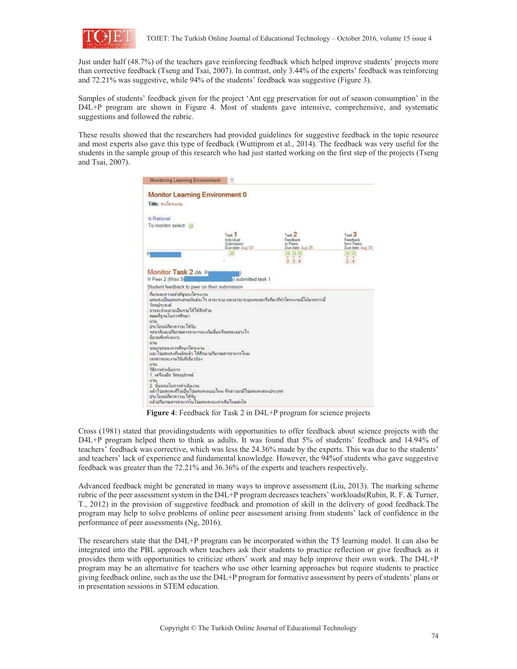

Just under half (48.7%) of the teachers gave reinforcing feedback which helped improve students' projects more than corrective feedback (Tseng and Tsai, 2007). In contrast, only 3.44% of the experts' feedback was reinforcing and 72.21% was suggestive, while 94% of the students' feedback was suggestive (Figure 3).

Samples of students' feedback given for the project 'Ant egg preservation for out of season consumption' in the D4L+P program are shown in Figure 4. Most of students gave intensive, comprehensive, and systematic suggestions and followed the rubric.

These results showed that the researchers had provided guidelines for suggestive feedback in the topic resource and most experts also gave this type of feedback (Wuttiprom et al., 2014). The feedback was very useful for the students in the sample group of this research who had just started working on the first step of the projects (Tseng and Tsai, 2007).

| <b>Monitor Learning Environment 0</b><br>Title: mainsamu                                                                                                                                              |                                                                    |                                                                |                                                                  |
|-------------------------------------------------------------------------------------------------------------------------------------------------------------------------------------------------------|--------------------------------------------------------------------|----------------------------------------------------------------|------------------------------------------------------------------|
| (4) Rational                                                                                                                                                                                          |                                                                    |                                                                |                                                                  |
| To monitor select                                                                                                                                                                                     |                                                                    |                                                                |                                                                  |
|                                                                                                                                                                                                       | Task <sub>1</sub><br>Individual<br>Submission<br>Due date: Aug '03 | Task <sub>2</sub><br>Feedback<br>to Peers<br>Due date: Aug '25 | Task <sub>3</sub><br>Feedback<br>from Peers<br>Due date: Aug '30 |
| P                                                                                                                                                                                                     |                                                                    | 334                                                            | w<br>24                                                          |
| อาจจะจำหน่ายเป็นรายได้ได้อีกด้วย<br>สมมติรานในการศึกษา<br>нти<br>ประโยชน์ที่คาดว่าจะได้รับ<br>รสชาติและปริมาณสารอาหารจะเห็นนั้นหรือลดลงอย่างไร<br>นียามตั้งต่อมาะ<br>tinu<br>ขอบเขตของการศึกษาโครงงาน |                                                                    |                                                                |                                                                  |
| และไข่มอแองก็หม้อแล้ว ได้ศึกษาปริมาณสารอาหารไหม<br>เอกสารและงานวิจัยที่เกี่ยวข้อง<br>63164<br>วิธีการค่าเนินการ<br>1. เครื่องมือ วัสลอปกรณ์<br>unu                                                    |                                                                    |                                                                |                                                                  |
| 2. ขั้นตอนในการตำเนินงาน                                                                                                                                                                              | แล้วไข่มหแดงก็ไข่เป็นไข่มหแดงแบบไหน ก็กล่าวมามิไข่มหแดงสองประเภท   |                                                                |                                                                  |

**Figure 4**: Feedback for Task 2 in D4L+P program for science projects

Cross (1981) stated that providingstudents with opportunities to offer feedback about science projects with the D4L+P program helped them to think as adults. It was found that 5% of students' feedback and 14.94% of teachers' feedback was corrective, which was less the 24.36% made by the experts. This was due to the students' and teachers' lack of experience and fundamental knowledge. However, the 94%of students who gave suggestive feedback was greater than the 72.21% and 36.36% of the experts and teachers respectively.

Advanced feedback might be generated in many ways to improve assessment (Liu, 2013). The marking scheme rubric of the peer assessment system in the D4L+P program decreases teachers' workloads(Rubin, R. F. & Turner, T., 2012) in the provision of suggestive feedback and promotion of skill in the delivery of good feedback.The program may help to solve problems of online peer assessment arising from students' lack of confidence in the performance of peer assessments (Ng, 2016).

The researchers state that the D4L+P program can be incorporated within the T5 learning model. It can also be integrated into the PBL approach when teachers ask their students to practice reflection or give feedback as it provides them with opportunities to criticize others' work and may help improve their own work. The D4L+P program may be an alternative for teachers who use other learning approaches but require students to practice giving feedback online, such as the use the D4L+P program for formative assessment by peers of students' plans or in presentation sessions in STEM education.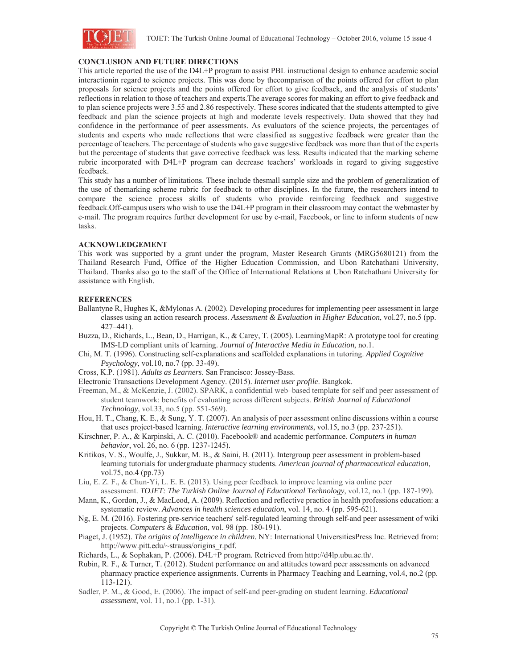

## **CONCLUSION AND FUTURE DIRECTIONS**

This article reported the use of the D4L+P program to assist PBL instructional design to enhance academic social interactionin regard to science projects. This was done by thecomparison of the points offered for effort to plan proposals for science projects and the points offered for effort to give feedback, and the analysis of students' reflections in relation to those of teachers and experts.The average scores for making an effort to give feedback and to plan science projects were 3.55 and 2.86 respectively. These scores indicated that the students attempted to give feedback and plan the science projects at high and moderate levels respectively. Data showed that they had confidence in the performance of peer assessments. As evaluators of the science projects, the percentages of students and experts who made reflections that were classified as suggestive feedback were greater than the percentage of teachers. The percentage of students who gave suggestive feedback was more than that of the experts but the percentage of students that gave corrective feedback was less. Results indicated that the marking scheme rubric incorporated with D4L+P program can decrease teachers' workloads in regard to giving suggestive feedback.

This study has a number of limitations. These include thesmall sample size and the problem of generalization of the use of themarking scheme rubric for feedback to other disciplines. In the future, the researchers intend to compare the science process skills of students who provide reinforcing feedback and suggestive feedback.Off-campus users who wish to use the D4L+P program in their classroom may contact the webmaster by e-mail. The program requires further development for use by e-mail, Facebook, or line to inform students of new tasks.

## **ACKNOWLEDGEMENT**

This work was supported by a grant under the program, Master Research Grants (MRG5680121) from the Thailand Research Fund, Office of the Higher Education Commission, and Ubon Ratchathani University, Thailand. Thanks also go to the staff of the Office of International Relations at Ubon Ratchathani University for assistance with English.

## **REFERENCES**

- Ballantyne R, Hughes K, &Mylonas A. (2002). Developing procedures for implementing peer assessment in large classes using an action research process. *Assessment & Evaluation in Higher Education*, vol.27, no.5 (pp. 427–441).
- Buzza, D., Richards, L., Bean, D., Harrigan, K., & Carey, T. (2005). LearningMapR: A prototype tool for creating IMS-LD compliant units of learning. *Journal of Interactive Media in Education*, no.1.
- Chi, M. T. (1996). Constructing self-explanations and scaffolded explanations in tutoring. *Applied Cognitive Psychology*, vol.10, no.7 (pp. 33-49).
- Cross, K.P. (1981). *Adults as Learners*. San Francisco: Jossey-Bass.
- Electronic Transactions Development Agency. (2015). *Internet user profile*. Bangkok.
- Freeman, M., & McKenzie, J. (2002). SPARK, a confidential web–based template for self and peer assessment of student teamwork: benefits of evaluating across different subjects. *British Journal of Educational Technology*, vol.33, no.5 (pp. 551-569).
- Hou, H. T., Chang, K. E., & Sung, Y. T. (2007). An analysis of peer assessment online discussions within a course that uses project-based learning. *Interactive learning environments*, vol.15, no.3 (pp. 237-251).
- Kirschner, P. A., & Karpinski, A. C. (2010). Facebook® and academic performance. *Computers in human behavior*, vol. 26, no. 6 (pp. 1237-1245).
- Kritikos, V. S., Woulfe, J., Sukkar, M. B., & Saini, B. (2011). Intergroup peer assessment in problem-based learning tutorials for undergraduate pharmacy students. *American journal of pharmaceutical education*, vol.75, no.4 (pp.73)
- Liu, E. Z. F., & Chun-Yi, L. E. E. (2013). Using peer feedback to improve learning via online peer assessment. *TOJET: The Turkish Online Journal of Educational Technology*, vol.12, no.1 (pp. 187-199).
- Mann, K., Gordon, J., & MacLeod, A. (2009). Reflection and reflective practice in health professions education: a systematic review. *Advances in health sciences education*, vol. 14, no. 4 (pp. 595-621).
- Ng, E. M. (2016). Fostering pre-service teachers' self-regulated learning through self-and peer assessment of wiki projects. *Computers & Education*, vol. 98 (pp. 180-191).
- Piaget, J. (1952). *The origins of intelligence in children*. NY: International UniversitiesPress Inc. Retrieved from: http://www.pitt.edu/~strauss/origins\_r.pdf.
- Richards, L., & Sophakan, P. (2006). D4L+P program. Retrieved from http://d4lp.ubu.ac.th/.
- Rubin, R. F., & Turner, T. (2012). Student performance on and attitudes toward peer assessments on advanced pharmacy practice experience assignments. Currents in Pharmacy Teaching and Learning, vol.4, no.2 (pp. 113-121).
- Sadler, P. M., & Good, E. (2006). The impact of self-and peer-grading on student learning. *Educational assessment*, vol. 11, no.1 (pp. 1-31).